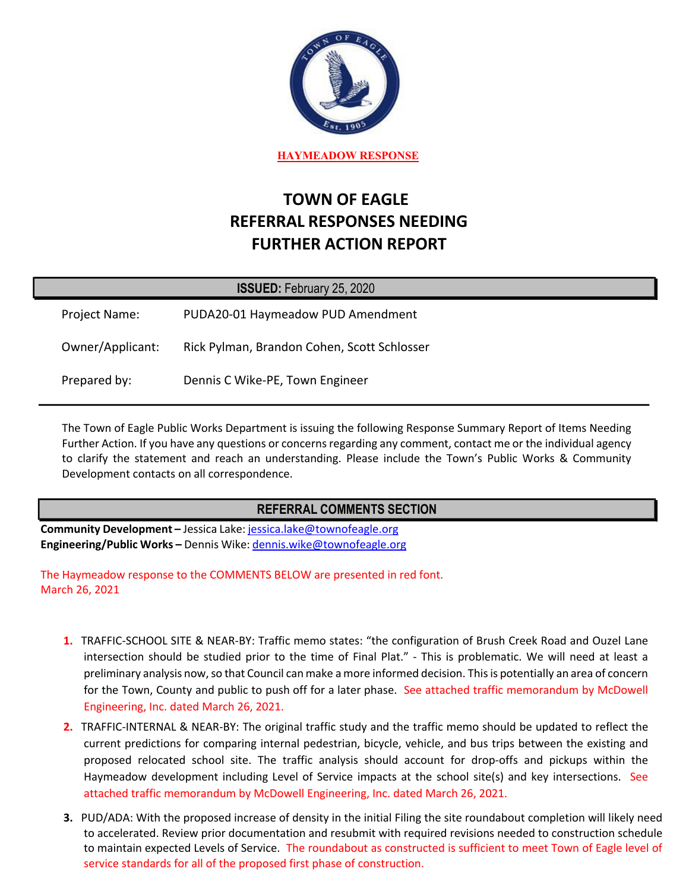

**HAYMEADOW RESPONSE**

# **TOWN OF EAGLE REFERRAL RESPONSES NEEDING FURTHER ACTION REPORT**

| <b>ISSUED: February 25, 2020</b> |  |                             |  |  |
|----------------------------------|--|-----------------------------|--|--|
| <b>BUD LOO AL UL</b>             |  | $\sim$ $\sim$ $\sim$ $\sim$ |  |  |

Project Name: PUDA20-01 Haymeadow PUD Amendment Owner/Applicant: Rick Pylman, Brandon Cohen, Scott Schlosser Prepared by: Dennis C Wike-PE, Town Engineer

The Town of Eagle Public Works Department is issuing the following Response Summary Report of Items Needing Further Action. If you have any questions or concerns regarding any comment, contact me or the individual agency to clarify the statement and reach an understanding. Please include the Town's Public Works & Community Development contacts on all correspondence.

# **REFERRAL COMMENTS SECTION**

**Community Development –** Jessica Lake: jessica.lake@townofeagle.org **Engineering/Public Works –** Dennis Wike: dennis.wike@townofeagle.org

The Haymeadow response to the COMMENTS BELOW are presented in red font. March 26, 2021

- **1.** TRAFFIC-SCHOOL SITE & NEAR-BY: Traffic memo states: "the configuration of Brush Creek Road and Ouzel Lane intersection should be studied prior to the time of Final Plat." - This is problematic. We will need at least a preliminary analysis now, so that Council can make a more informed decision. This is potentially an area of concern for the Town, County and public to push off for a later phase. See attached traffic memorandum by McDowell Engineering, Inc. dated March 26, 2021.
- **2.** TRAFFIC-INTERNAL & NEAR-BY: The original traffic study and the traffic memo should be updated to reflect the current predictions for comparing internal pedestrian, bicycle, vehicle, and bus trips between the existing and proposed relocated school site. The traffic analysis should account for drop-offs and pickups within the Haymeadow development including Level of Service impacts at the school site(s) and key intersections. See attached traffic memorandum by McDowell Engineering, Inc. dated March 26, 2021.
- **3.** PUD/ADA: With the proposed increase of density in the initial Filing the site roundabout completion will likely need to accelerated. Review prior documentation and resubmit with required revisions needed to construction schedule to maintain expected Levels of Service. The roundabout as constructed is sufficient to meet Town of Eagle level of service standards for all of the proposed first phase of construction.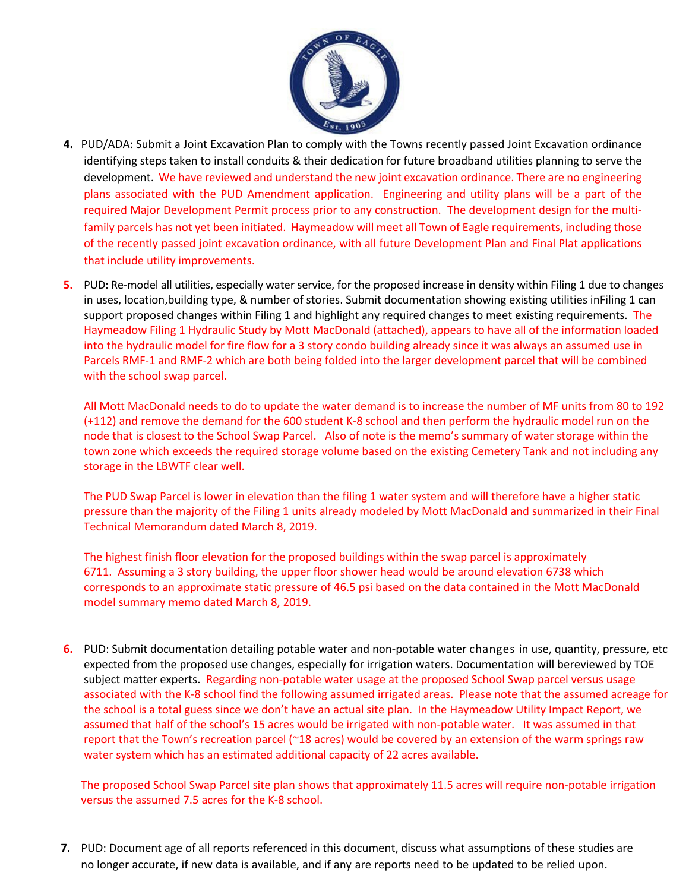

- **4.** PUD/ADA: Submit a Joint Excavation Plan to comply with the Towns recently passed Joint Excavation ordinance identifying steps taken to install conduits & their dedication for future broadband utilities planning to serve the development. We have reviewed and understand the new joint excavation ordinance. There are no engineering plans associated with the PUD Amendment application. Engineering and utility plans will be a part of the required Major Development Permit process prior to any construction. The development design for the multifamily parcels has not yet been initiated. Haymeadow will meet all Town of Eagle requirements, including those of the recently passed joint excavation ordinance, with all future Development Plan and Final Plat applications that include utility improvements.
- **5.** PUD: Re-model all utilities, especially water service, for the proposed increase in density within Filing 1 due to changes in uses, location,building type, & number of stories. Submit documentation showing existing utilities inFiling 1 can support proposed changes within Filing 1 and highlight any required changes to meet existing requirements. The Haymeadow Filing 1 Hydraulic Study by Mott MacDonald (attached), appears to have all of the information loaded into the hydraulic model for fire flow for a 3 story condo building already since it was always an assumed use in Parcels RMF-1 and RMF-2 which are both being folded into the larger development parcel that will be combined with the school swap parcel.

All Mott MacDonald needs to do to update the water demand is to increase the number of MF units from 80 to 192 (+112) and remove the demand for the 600 student K-8 school and then perform the hydraulic model run on the node that is closest to the School Swap Parcel. Also of note is the memo's summary of water storage within the town zone which exceeds the required storage volume based on the existing Cemetery Tank and not including any storage in the LBWTF clear well.

The PUD Swap Parcel is lower in elevation than the filing 1 water system and will therefore have a higher static pressure than the majority of the Filing 1 units already modeled by Mott MacDonald and summarized in their Final Technical Memorandum dated March 8, 2019.

The highest finish floor elevation for the proposed buildings within the swap parcel is approximately 6711. Assuming a 3 story building, the upper floor shower head would be around elevation 6738 which corresponds to an approximate static pressure of 46.5 psi based on the data contained in the Mott MacDonald model summary memo dated March 8, 2019.

**6.** PUD: Submit documentation detailing potable water and non-potable water changes in use, quantity, pressure, etc expected from the proposed use changes, especially for irrigation waters. Documentation will bereviewed by TOE subject matter experts. Regarding non-potable water usage at the proposed School Swap parcel versus usage associated with the K-8 school find the following assumed irrigated areas. Please note that the assumed acreage for the school is a total guess since we don't have an actual site plan. In the Haymeadow Utility Impact Report, we assumed that half of the school's 15 acres would be irrigated with non-potable water. It was assumed in that report that the Town's recreation parcel (~18 acres) would be covered by an extension of the warm springs raw water system which has an estimated additional capacity of 22 acres available.

The proposed School Swap Parcel site plan shows that approximately 11.5 acres will require non-potable irrigation versus the assumed 7.5 acres for the K-8 school.

**7.** PUD: Document age of all reports referenced in this document, discuss what assumptions of these studies are no longer accurate, if new data is available, and if any are reports need to be updated to be relied upon.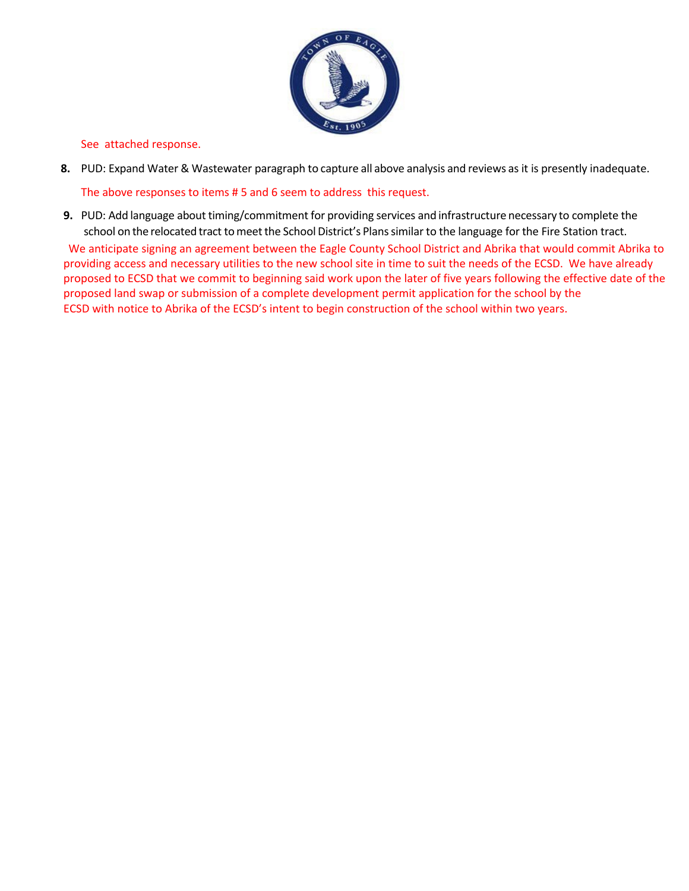

See attached response.

- **8.** PUD: Expand Water & Wastewater paragraph to capture all above analysis and reviews as it is presently inadequate. The above responses to items # 5 and 6 seem to address this request.
- **9.** PUD: Add language about timing/commitment for providing services and infrastructure necessary to complete the school on the relocated tract to meet the School District's Plans similar to the language for the Fire Station tract. We anticipate signing an agreement between the Eagle County School District and Abrika that would commit Abrika to providing access and necessary utilities to the new school site in time to suit the needs of the ECSD. We have already proposed to ECSD that we commit to beginning said work upon the later of five years following the effective date of the proposed land swap or submission of a complete development permit application for the school by the ECSD with notice to Abrika of the ECSD's intent to begin construction of the school within two years.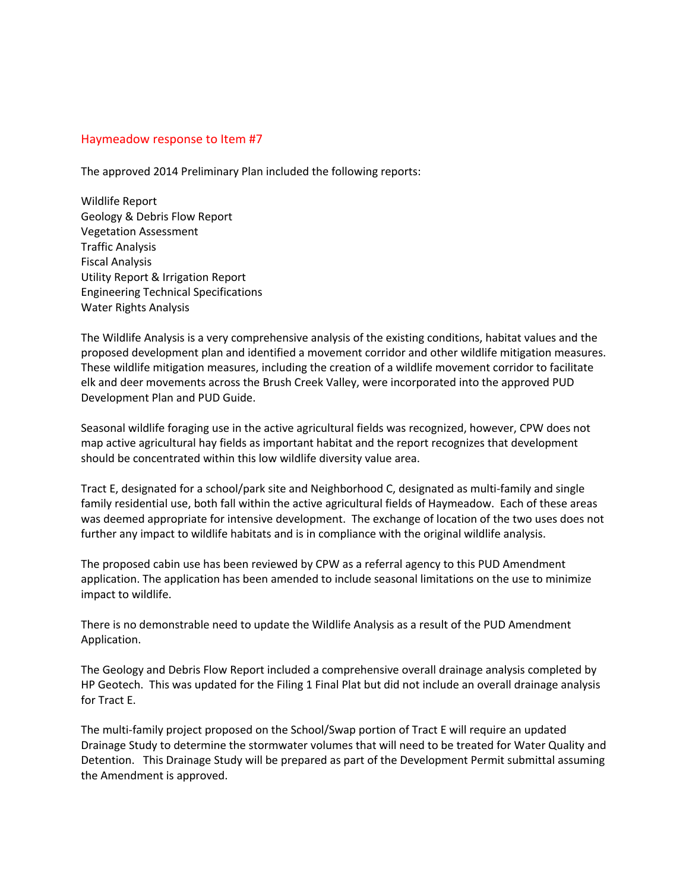#### Haymeadow response to Item #7

The approved 2014 Preliminary Plan included the following reports:

Wildlife Report Geology & Debris Flow Report Vegetation Assessment Traffic Analysis Fiscal Analysis Utility Report & Irrigation Report Engineering Technical Specifications Water Rights Analysis

The Wildlife Analysis is a very comprehensive analysis of the existing conditions, habitat values and the proposed development plan and identified a movement corridor and other wildlife mitigation measures. These wildlife mitigation measures, including the creation of a wildlife movement corridor to facilitate elk and deer movements across the Brush Creek Valley, were incorporated into the approved PUD Development Plan and PUD Guide.

Seasonal wildlife foraging use in the active agricultural fields was recognized, however, CPW does not map active agricultural hay fields as important habitat and the report recognizes that development should be concentrated within this low wildlife diversity value area.

Tract E, designated for a school/park site and Neighborhood C, designated as multi-family and single family residential use, both fall within the active agricultural fields of Haymeadow. Each of these areas was deemed appropriate for intensive development. The exchange of location of the two uses does not further any impact to wildlife habitats and is in compliance with the original wildlife analysis.

The proposed cabin use has been reviewed by CPW as a referral agency to this PUD Amendment application. The application has been amended to include seasonal limitations on the use to minimize impact to wildlife.

There is no demonstrable need to update the Wildlife Analysis as a result of the PUD Amendment Application.

The Geology and Debris Flow Report included a comprehensive overall drainage analysis completed by HP Geotech. This was updated for the Filing 1 Final Plat but did not include an overall drainage analysis for Tract E.

The multi-family project proposed on the School/Swap portion of Tract E will require an updated Drainage Study to determine the stormwater volumes that will need to be treated for Water Quality and Detention. This Drainage Study will be prepared as part of the Development Permit submittal assuming the Amendment is approved.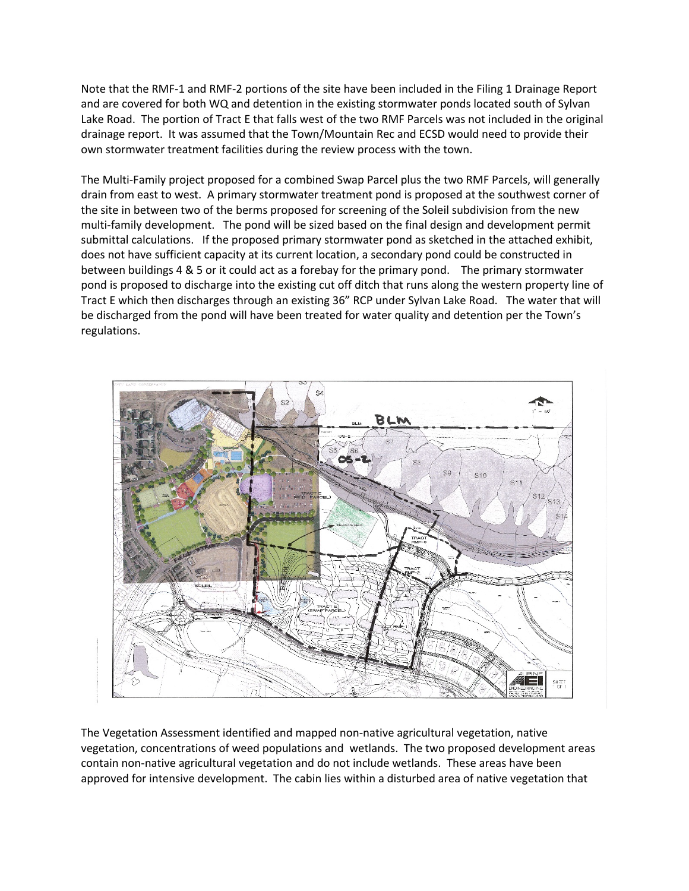Note that the RMF-1 and RMF-2 portions of the site have been included in the Filing 1 Drainage Report and are covered for both WQ and detention in the existing stormwater ponds located south of Sylvan Lake Road. The portion of Tract E that falls west of the two RMF Parcels was not included in the original drainage report. It was assumed that the Town/Mountain Rec and ECSD would need to provide their own stormwater treatment facilities during the review process with the town.

The Multi-Family project proposed for a combined Swap Parcel plus the two RMF Parcels, will generally drain from east to west. A primary stormwater treatment pond is proposed at the southwest corner of the site in between two of the berms proposed for screening of the Soleil subdivision from the new multi-family development. The pond will be sized based on the final design and development permit submittal calculations. If the proposed primary stormwater pond as sketched in the attached exhibit, does not have sufficient capacity at its current location, a secondary pond could be constructed in between buildings 4 & 5 or it could act as a forebay for the primary pond. The primary stormwater pond is proposed to discharge into the existing cut off ditch that runs along the western property line of Tract E which then discharges through an existing 36" RCP under Sylvan Lake Road. The water that will be discharged from the pond will have been treated for water quality and detention per the Town's regulations.



The Vegetation Assessment identified and mapped non-native agricultural vegetation, native vegetation, concentrations of weed populations and wetlands. The two proposed development areas contain non-native agricultural vegetation and do not include wetlands. These areas have been approved for intensive development. The cabin lies within a disturbed area of native vegetation that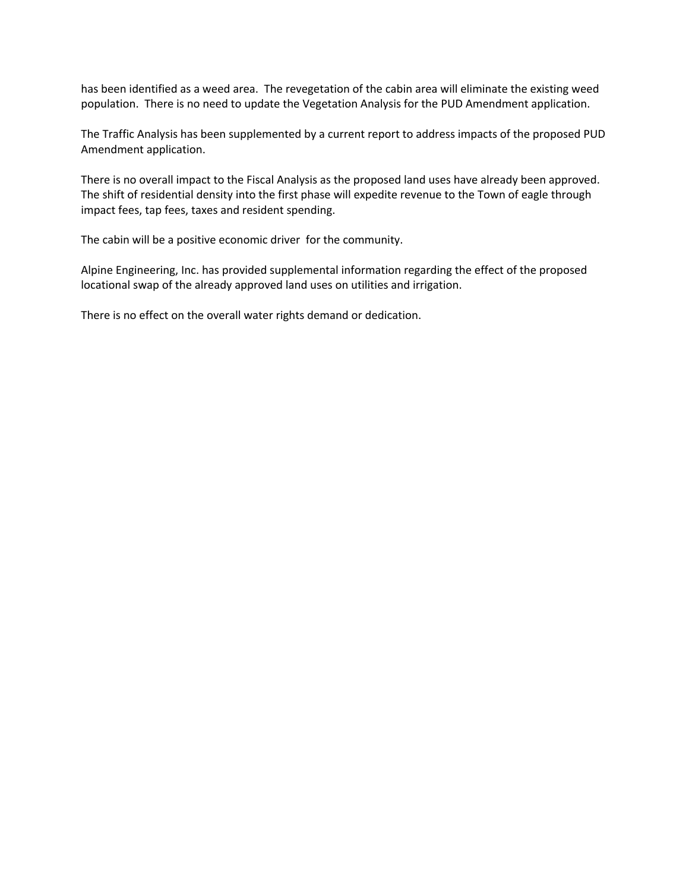has been identified as a weed area. The revegetation of the cabin area will eliminate the existing weed population. There is no need to update the Vegetation Analysis for the PUD Amendment application.

The Traffic Analysis has been supplemented by a current report to address impacts of the proposed PUD Amendment application.

There is no overall impact to the Fiscal Analysis as the proposed land uses have already been approved. The shift of residential density into the first phase will expedite revenue to the Town of eagle through impact fees, tap fees, taxes and resident spending.

The cabin will be a positive economic driver for the community.

Alpine Engineering, Inc. has provided supplemental information regarding the effect of the proposed locational swap of the already approved land uses on utilities and irrigation.

There is no effect on the overall water rights demand or dedication.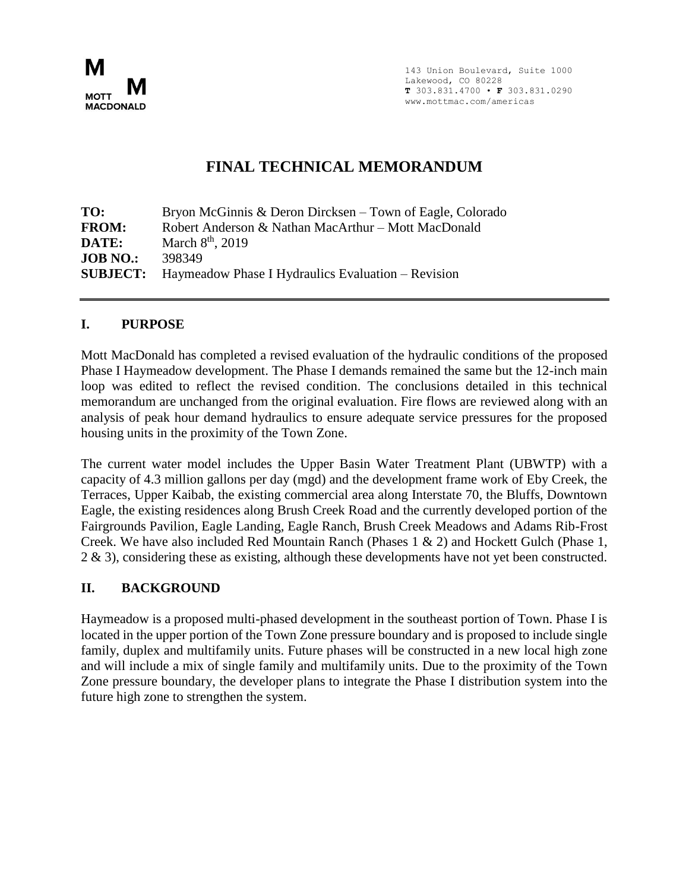

143 Union Boulevard, Suite 1000 Lakewood, CO 80228 **T** 303.831.4700 • **F** 303.831.0290 www.mottmac.com/americas

# **FINAL TECHNICAL MEMORANDUM**

**TO:** Bryon McGinnis & Deron Dircksen – Town of Eagle, Colorado **FROM:** Robert Anderson & Nathan MacArthur – Mott MacDonald **DATE:** March 8<sup>th</sup>, 2019 **JOB NO.:** 398349 **SUBJECT:** Haymeadow Phase I Hydraulics Evaluation – Revision

### **I. PURPOSE**

Mott MacDonald has completed a revised evaluation of the hydraulic conditions of the proposed Phase I Haymeadow development. The Phase I demands remained the same but the 12-inch main loop was edited to reflect the revised condition. The conclusions detailed in this technical memorandum are unchanged from the original evaluation. Fire flows are reviewed along with an analysis of peak hour demand hydraulics to ensure adequate service pressures for the proposed housing units in the proximity of the Town Zone.

The current water model includes the Upper Basin Water Treatment Plant (UBWTP) with a capacity of 4.3 million gallons per day (mgd) and the development frame work of Eby Creek, the Terraces, Upper Kaibab, the existing commercial area along Interstate 70, the Bluffs, Downtown Eagle, the existing residences along Brush Creek Road and the currently developed portion of the Fairgrounds Pavilion, Eagle Landing, Eagle Ranch, Brush Creek Meadows and Adams Rib-Frost Creek. We have also included Red Mountain Ranch (Phases 1 & 2) and Hockett Gulch (Phase 1, 2 & 3), considering these as existing, although these developments have not yet been constructed.

# **II. BACKGROUND**

Haymeadow is a proposed multi-phased development in the southeast portion of Town. Phase I is located in the upper portion of the Town Zone pressure boundary and is proposed to include single family, duplex and multifamily units. Future phases will be constructed in a new local high zone and will include a mix of single family and multifamily units. Due to the proximity of the Town Zone pressure boundary, the developer plans to integrate the Phase I distribution system into the future high zone to strengthen the system.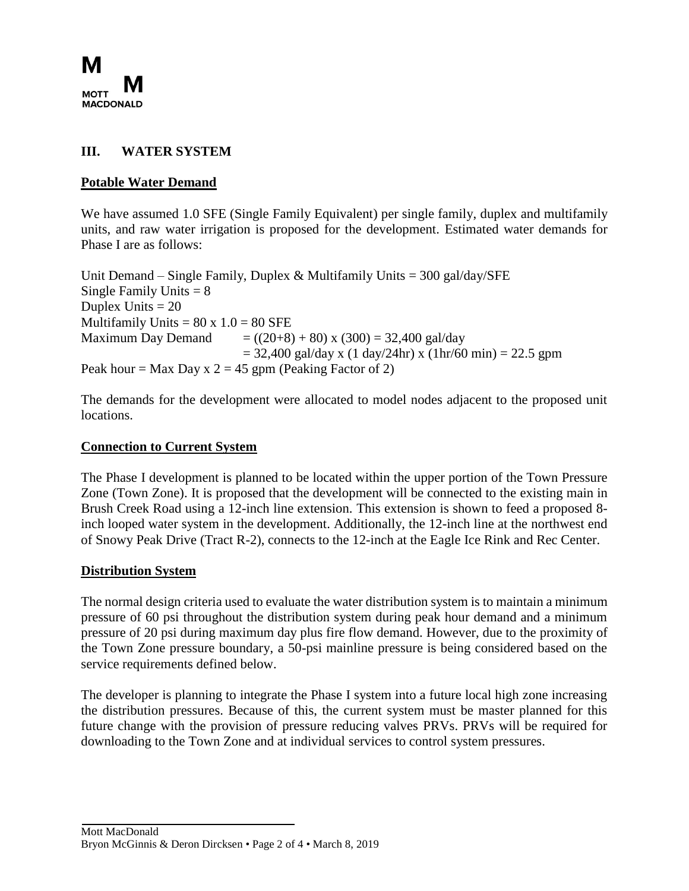

# **III. WATER SYSTEM**

# **Potable Water Demand**

We have assumed 1.0 SFE (Single Family Equivalent) per single family, duplex and multifamily units, and raw water irrigation is proposed for the development. Estimated water demands for Phase I are as follows:

Unit Demand – Single Family, Duplex & Multifamily Units =  $300 \text{ gal/day}/\text{SFE}$ Single Family Units  $= 8$ Duplex Units  $= 20$ Multifamily Units =  $80 \times 1.0 = 80$  SFE Maximum Day Demand  $= ((20+8) + 80)$  x  $(300) = 32,400$  gal/day  $= 32,400 \text{ gal/day x}$  (1 day/24hr) x (1hr/60 min) = 22.5 gpm Peak hour = Max Day x  $2 = 45$  gpm (Peaking Factor of 2)

The demands for the development were allocated to model nodes adjacent to the proposed unit locations.

#### **Connection to Current System**

The Phase I development is planned to be located within the upper portion of the Town Pressure Zone (Town Zone). It is proposed that the development will be connected to the existing main in Brush Creek Road using a 12-inch line extension. This extension is shown to feed a proposed 8 inch looped water system in the development. Additionally, the 12-inch line at the northwest end of Snowy Peak Drive (Tract R-2), connects to the 12-inch at the Eagle Ice Rink and Rec Center.

#### **Distribution System**

The normal design criteria used to evaluate the water distribution system is to maintain a minimum pressure of 60 psi throughout the distribution system during peak hour demand and a minimum pressure of 20 psi during maximum day plus fire flow demand. However, due to the proximity of the Town Zone pressure boundary, a 50-psi mainline pressure is being considered based on the service requirements defined below.

The developer is planning to integrate the Phase I system into a future local high zone increasing the distribution pressures. Because of this, the current system must be master planned for this future change with the provision of pressure reducing valves PRVs. PRVs will be required for downloading to the Town Zone and at individual services to control system pressures.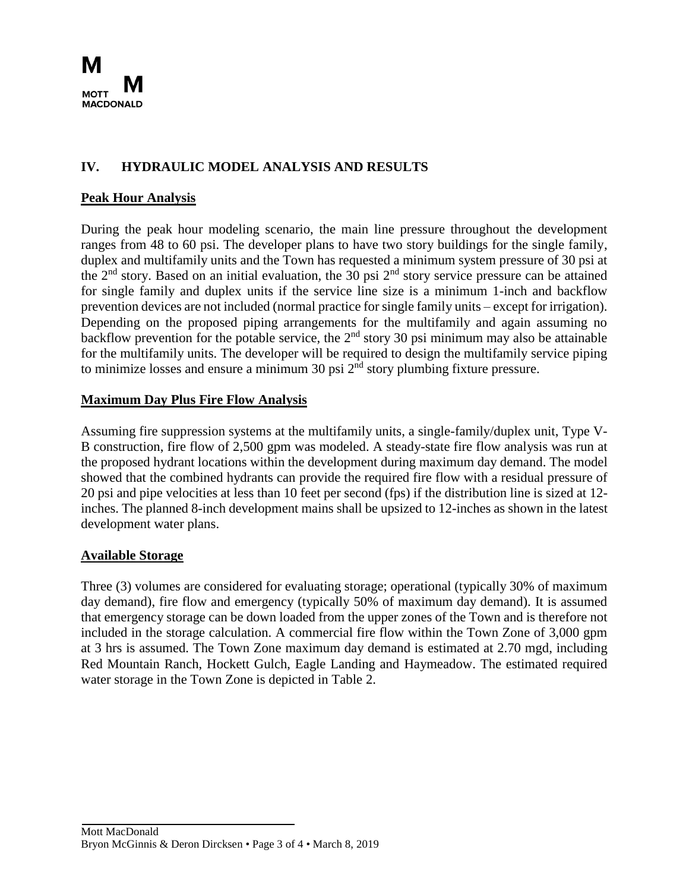

# **IV. HYDRAULIC MODEL ANALYSIS AND RESULTS**

# **Peak Hour Analysis**

During the peak hour modeling scenario, the main line pressure throughout the development ranges from 48 to 60 psi. The developer plans to have two story buildings for the single family, duplex and multifamily units and the Town has requested a minimum system pressure of 30 psi at the  $2<sup>nd</sup>$  story. Based on an initial evaluation, the 30 psi  $2<sup>nd</sup>$  story service pressure can be attained for single family and duplex units if the service line size is a minimum 1-inch and backflow prevention devices are not included (normal practice for single family units – except for irrigation). Depending on the proposed piping arrangements for the multifamily and again assuming no backflow prevention for the potable service, the  $2<sup>nd</sup>$  story 30 psi minimum may also be attainable for the multifamily units. The developer will be required to design the multifamily service piping to minimize losses and ensure a minimum 30 psi  $2<sup>nd</sup>$  story plumbing fixture pressure.

# **Maximum Day Plus Fire Flow Analysis**

Assuming fire suppression systems at the multifamily units, a single-family/duplex unit, Type V-B construction, fire flow of 2,500 gpm was modeled. A steady-state fire flow analysis was run at the proposed hydrant locations within the development during maximum day demand. The model showed that the combined hydrants can provide the required fire flow with a residual pressure of 20 psi and pipe velocities at less than 10 feet per second (fps) if the distribution line is sized at 12 inches. The planned 8-inch development mains shall be upsized to 12-inches as shown in the latest development water plans.

# **Available Storage**

Three (3) volumes are considered for evaluating storage; operational (typically 30% of maximum day demand), fire flow and emergency (typically 50% of maximum day demand). It is assumed that emergency storage can be down loaded from the upper zones of the Town and is therefore not included in the storage calculation. A commercial fire flow within the Town Zone of 3,000 gpm at 3 hrs is assumed. The Town Zone maximum day demand is estimated at 2.70 mgd, including Red Mountain Ranch, Hockett Gulch, Eagle Landing and Haymeadow. The estimated required water storage in the Town Zone is depicted in Table 2.